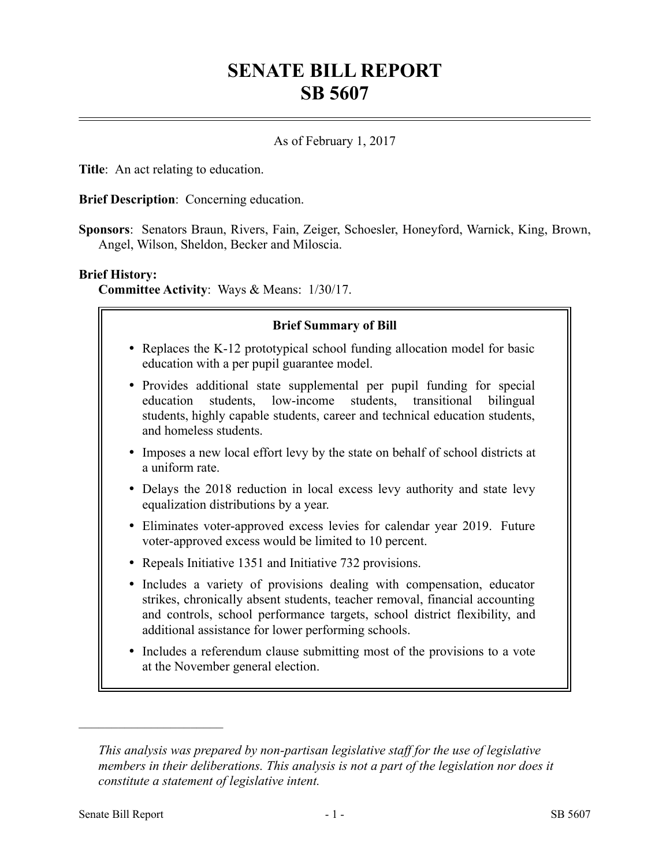# **SENATE BILL REPORT SB 5607**

### As of February 1, 2017

**Title**: An act relating to education.

**Brief Description**: Concerning education.

**Sponsors**: Senators Braun, Rivers, Fain, Zeiger, Schoesler, Honeyford, Warnick, King, Brown, Angel, Wilson, Sheldon, Becker and Miloscia.

#### **Brief History:**

**Committee Activity**: Ways & Means: 1/30/17.

#### **Brief Summary of Bill**

- Replaces the K-12 prototypical school funding allocation model for basic education with a per pupil guarantee model.
- Provides additional state supplemental per pupil funding for special education students, low-income students, transitional bilingual students, highly capable students, career and technical education students, and homeless students.
- Imposes a new local effort levy by the state on behalf of school districts at a uniform rate.
- Delays the 2018 reduction in local excess levy authority and state levy equalization distributions by a year.
- Eliminates voter-approved excess levies for calendar year 2019. Future voter-approved excess would be limited to 10 percent.
- Repeals Initiative 1351 and Initiative 732 provisions.
- Includes a variety of provisions dealing with compensation, educator strikes, chronically absent students, teacher removal, financial accounting and controls, school performance targets, school district flexibility, and additional assistance for lower performing schools.
- Includes a referendum clause submitting most of the provisions to a vote at the November general election.

––––––––––––––––––––––

*This analysis was prepared by non-partisan legislative staff for the use of legislative members in their deliberations. This analysis is not a part of the legislation nor does it constitute a statement of legislative intent.*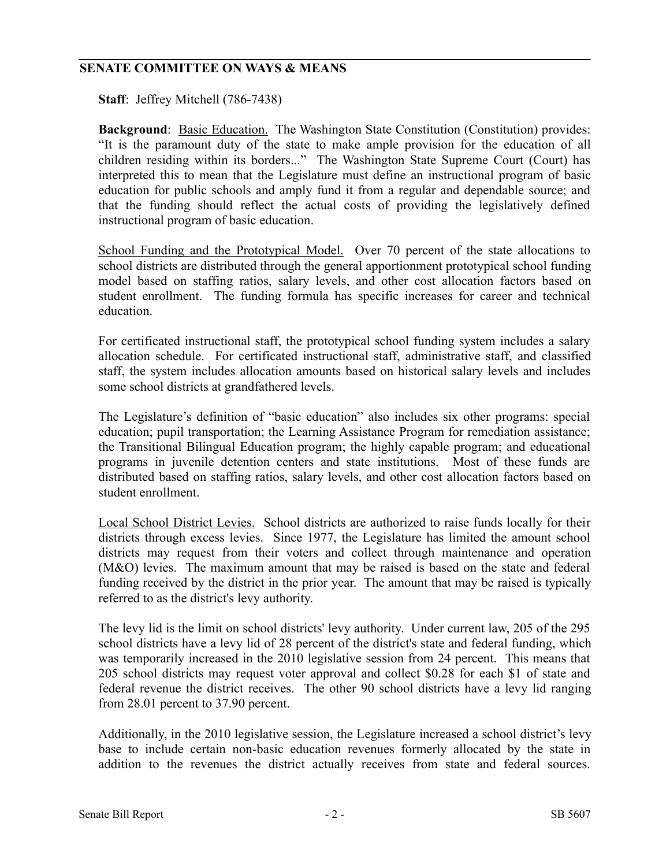## **SENATE COMMITTEE ON WAYS & MEANS**

**Staff**: Jeffrey Mitchell (786-7438)

**Background:** Basic Education. The Washington State Constitution (Constitution) provides: "It is the paramount duty of the state to make ample provision for the education of all children residing within its borders..." The Washington State Supreme Court (Court) has interpreted this to mean that the Legislature must define an instructional program of basic education for public schools and amply fund it from a regular and dependable source; and that the funding should reflect the actual costs of providing the legislatively defined instructional program of basic education.

School Funding and the Prototypical Model. Over 70 percent of the state allocations to school districts are distributed through the general apportionment prototypical school funding model based on staffing ratios, salary levels, and other cost allocation factors based on student enrollment. The funding formula has specific increases for career and technical education.

For certificated instructional staff, the prototypical school funding system includes a salary allocation schedule. For certificated instructional staff, administrative staff, and classified staff, the system includes allocation amounts based on historical salary levels and includes some school districts at grandfathered levels.

The Legislature's definition of "basic education" also includes six other programs: special education; pupil transportation; the Learning Assistance Program for remediation assistance; the Transitional Bilingual Education program; the highly capable program; and educational programs in juvenile detention centers and state institutions. Most of these funds are distributed based on staffing ratios, salary levels, and other cost allocation factors based on student enrollment.

Local School District Levies. School districts are authorized to raise funds locally for their districts through excess levies. Since 1977, the Legislature has limited the amount school districts may request from their voters and collect through maintenance and operation (M&O) levies. The maximum amount that may be raised is based on the state and federal funding received by the district in the prior year. The amount that may be raised is typically referred to as the district's levy authority.

The levy lid is the limit on school districts' levy authority. Under current law, 205 of the 295 school districts have a levy lid of 28 percent of the district's state and federal funding, which was temporarily increased in the 2010 legislative session from 24 percent. This means that 205 school districts may request voter approval and collect \$0.28 for each \$1 of state and federal revenue the district receives. The other 90 school districts have a levy lid ranging from 28.01 percent to 37.90 percent.

Additionally, in the 2010 legislative session, the Legislature increased a school district's levy base to include certain non-basic education revenues formerly allocated by the state in addition to the revenues the district actually receives from state and federal sources.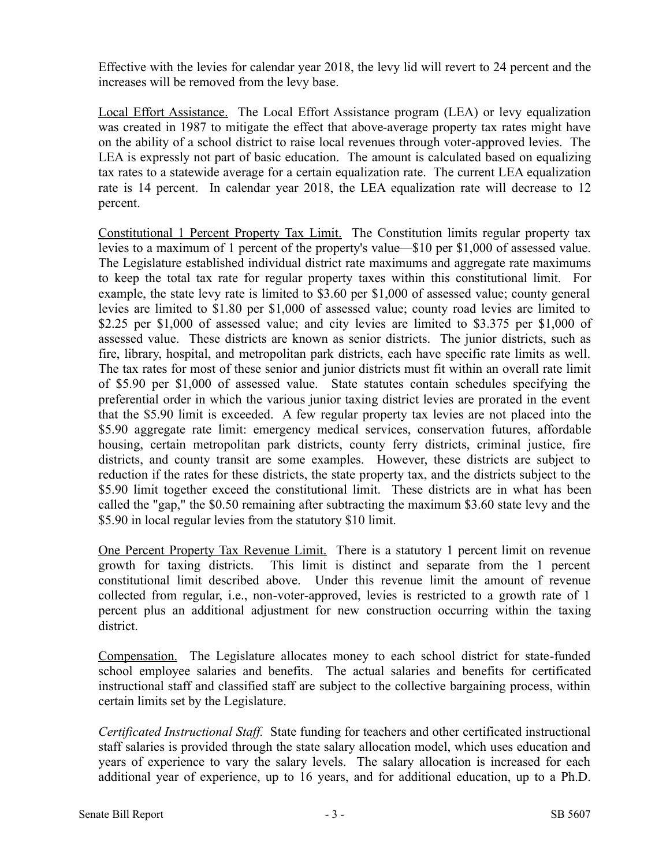Effective with the levies for calendar year 2018, the levy lid will revert to 24 percent and the increases will be removed from the levy base.

Local Effort Assistance. The Local Effort Assistance program (LEA) or levy equalization was created in 1987 to mitigate the effect that above-average property tax rates might have on the ability of a school district to raise local revenues through voter-approved levies. The LEA is expressly not part of basic education. The amount is calculated based on equalizing tax rates to a statewide average for a certain equalization rate. The current LEA equalization rate is 14 percent. In calendar year 2018, the LEA equalization rate will decrease to 12 percent.

Constitutional 1 Percent Property Tax Limit. The Constitution limits regular property tax levies to a maximum of 1 percent of the property's value—\$10 per \$1,000 of assessed value. The Legislature established individual district rate maximums and aggregate rate maximums to keep the total tax rate for regular property taxes within this constitutional limit. For example, the state levy rate is limited to \$3.60 per \$1,000 of assessed value; county general levies are limited to \$1.80 per \$1,000 of assessed value; county road levies are limited to \$2.25 per \$1,000 of assessed value; and city levies are limited to \$3.375 per \$1,000 of assessed value. These districts are known as senior districts. The junior districts, such as fire, library, hospital, and metropolitan park districts, each have specific rate limits as well. The tax rates for most of these senior and junior districts must fit within an overall rate limit of \$5.90 per \$1,000 of assessed value. State statutes contain schedules specifying the preferential order in which the various junior taxing district levies are prorated in the event that the \$5.90 limit is exceeded. A few regular property tax levies are not placed into the \$5.90 aggregate rate limit: emergency medical services, conservation futures, affordable housing, certain metropolitan park districts, county ferry districts, criminal justice, fire districts, and county transit are some examples. However, these districts are subject to reduction if the rates for these districts, the state property tax, and the districts subject to the \$5.90 limit together exceed the constitutional limit. These districts are in what has been called the "gap," the \$0.50 remaining after subtracting the maximum \$3.60 state levy and the \$5.90 in local regular levies from the statutory \$10 limit.

One Percent Property Tax Revenue Limit. There is a statutory 1 percent limit on revenue growth for taxing districts. This limit is distinct and separate from the 1 percent constitutional limit described above. Under this revenue limit the amount of revenue collected from regular, i.e., non-voter-approved, levies is restricted to a growth rate of 1 percent plus an additional adjustment for new construction occurring within the taxing district.

Compensation. The Legislature allocates money to each school district for state-funded school employee salaries and benefits. The actual salaries and benefits for certificated instructional staff and classified staff are subject to the collective bargaining process, within certain limits set by the Legislature.

*Certificated Instructional Staff.* State funding for teachers and other certificated instructional staff salaries is provided through the state salary allocation model, which uses education and years of experience to vary the salary levels. The salary allocation is increased for each additional year of experience, up to 16 years, and for additional education, up to a Ph.D.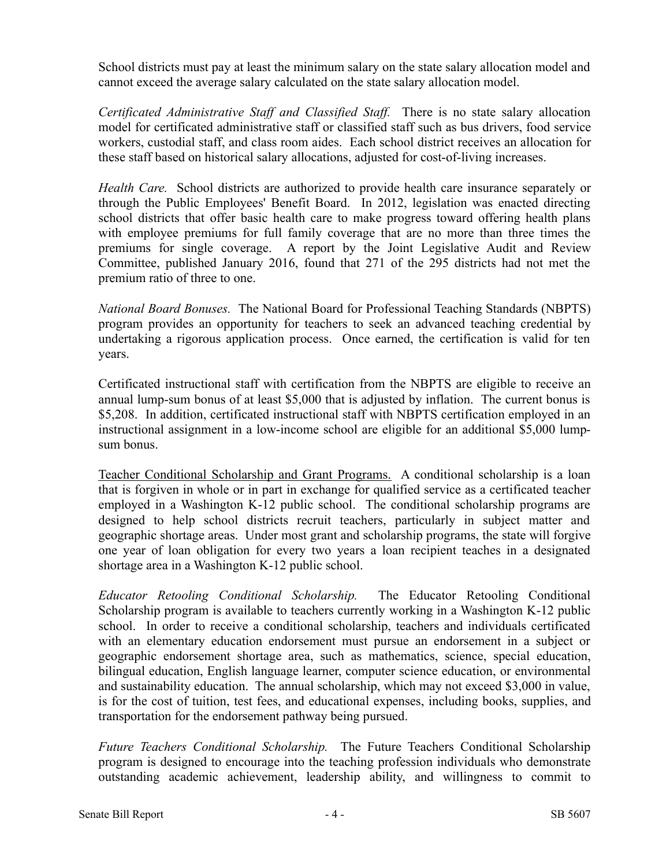School districts must pay at least the minimum salary on the state salary allocation model and cannot exceed the average salary calculated on the state salary allocation model.

*Certificated Administrative Staff and Classified Staff.* There is no state salary allocation model for certificated administrative staff or classified staff such as bus drivers, food service workers, custodial staff, and class room aides. Each school district receives an allocation for these staff based on historical salary allocations, adjusted for cost-of-living increases.

*Health Care.* School districts are authorized to provide health care insurance separately or through the Public Employees' Benefit Board. In 2012, legislation was enacted directing school districts that offer basic health care to make progress toward offering health plans with employee premiums for full family coverage that are no more than three times the premiums for single coverage. A report by the Joint Legislative Audit and Review Committee, published January 2016, found that 271 of the 295 districts had not met the premium ratio of three to one.

*National Board Bonuses.* The National Board for Professional Teaching Standards (NBPTS) program provides an opportunity for teachers to seek an advanced teaching credential by undertaking a rigorous application process. Once earned, the certification is valid for ten years.

Certificated instructional staff with certification from the NBPTS are eligible to receive an annual lump-sum bonus of at least \$5,000 that is adjusted by inflation. The current bonus is \$5,208. In addition, certificated instructional staff with NBPTS certification employed in an instructional assignment in a low-income school are eligible for an additional \$5,000 lumpsum bonus.

Teacher Conditional Scholarship and Grant Programs. A conditional scholarship is a loan that is forgiven in whole or in part in exchange for qualified service as a certificated teacher employed in a Washington K-12 public school. The conditional scholarship programs are designed to help school districts recruit teachers, particularly in subject matter and geographic shortage areas. Under most grant and scholarship programs, the state will forgive one year of loan obligation for every two years a loan recipient teaches in a designated shortage area in a Washington K-12 public school.

*Educator Retooling Conditional Scholarship.* The Educator Retooling Conditional Scholarship program is available to teachers currently working in a Washington K-12 public school. In order to receive a conditional scholarship, teachers and individuals certificated with an elementary education endorsement must pursue an endorsement in a subject or geographic endorsement shortage area, such as mathematics, science, special education, bilingual education, English language learner, computer science education, or environmental and sustainability education. The annual scholarship, which may not exceed \$3,000 in value, is for the cost of tuition, test fees, and educational expenses, including books, supplies, and transportation for the endorsement pathway being pursued.

*Future Teachers Conditional Scholarship.* The Future Teachers Conditional Scholarship program is designed to encourage into the teaching profession individuals who demonstrate outstanding academic achievement, leadership ability, and willingness to commit to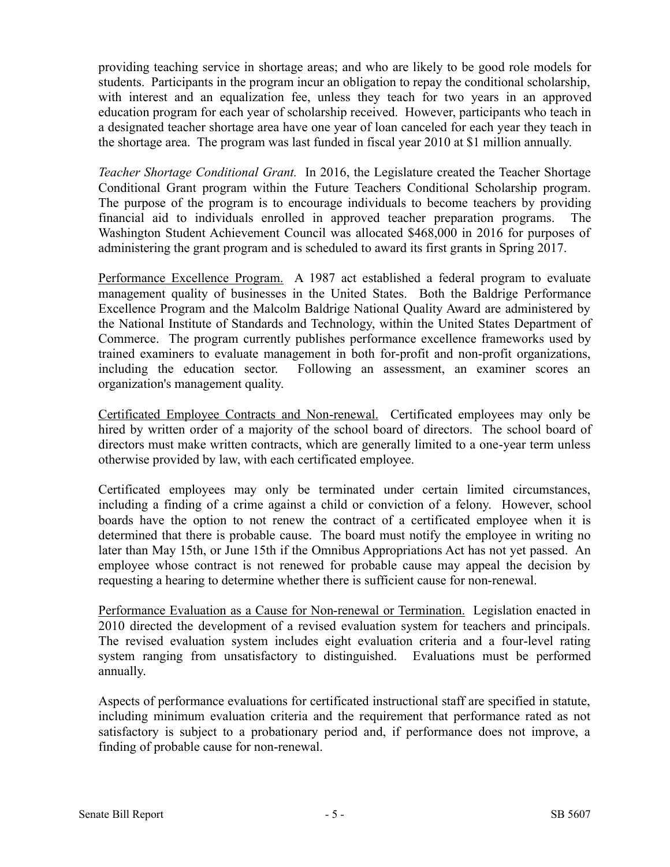providing teaching service in shortage areas; and who are likely to be good role models for students. Participants in the program incur an obligation to repay the conditional scholarship, with interest and an equalization fee, unless they teach for two years in an approved education program for each year of scholarship received. However, participants who teach in a designated teacher shortage area have one year of loan canceled for each year they teach in the shortage area. The program was last funded in fiscal year 2010 at \$1 million annually.

*Teacher Shortage Conditional Grant.* In 2016, the Legislature created the Teacher Shortage Conditional Grant program within the Future Teachers Conditional Scholarship program. The purpose of the program is to encourage individuals to become teachers by providing financial aid to individuals enrolled in approved teacher preparation programs. The Washington Student Achievement Council was allocated \$468,000 in 2016 for purposes of administering the grant program and is scheduled to award its first grants in Spring 2017.

Performance Excellence Program. A 1987 act established a federal program to evaluate management quality of businesses in the United States. Both the Baldrige Performance Excellence Program and the Malcolm Baldrige National Quality Award are administered by the National Institute of Standards and Technology, within the United States Department of Commerce. The program currently publishes performance excellence frameworks used by trained examiners to evaluate management in both for-profit and non-profit organizations, including the education sector. Following an assessment, an examiner scores an organization's management quality.

Certificated Employee Contracts and Non-renewal. Certificated employees may only be hired by written order of a majority of the school board of directors. The school board of directors must make written contracts, which are generally limited to a one-year term unless otherwise provided by law, with each certificated employee.

Certificated employees may only be terminated under certain limited circumstances, including a finding of a crime against a child or conviction of a felony. However, school boards have the option to not renew the contract of a certificated employee when it is determined that there is probable cause. The board must notify the employee in writing no later than May 15th, or June 15th if the Omnibus Appropriations Act has not yet passed. An employee whose contract is not renewed for probable cause may appeal the decision by requesting a hearing to determine whether there is sufficient cause for non-renewal.

Performance Evaluation as a Cause for Non-renewal or Termination. Legislation enacted in 2010 directed the development of a revised evaluation system for teachers and principals. The revised evaluation system includes eight evaluation criteria and a four-level rating system ranging from unsatisfactory to distinguished. Evaluations must be performed annually.

Aspects of performance evaluations for certificated instructional staff are specified in statute, including minimum evaluation criteria and the requirement that performance rated as not satisfactory is subject to a probationary period and, if performance does not improve, a finding of probable cause for non-renewal.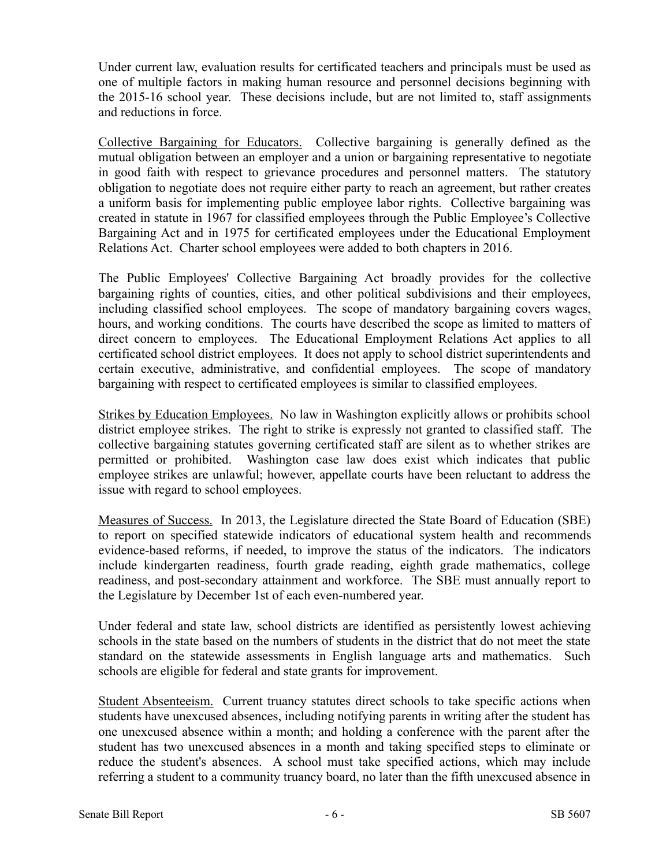Under current law, evaluation results for certificated teachers and principals must be used as one of multiple factors in making human resource and personnel decisions beginning with the 2015-16 school year. These decisions include, but are not limited to, staff assignments and reductions in force.

Collective Bargaining for Educators. Collective bargaining is generally defined as the mutual obligation between an employer and a union or bargaining representative to negotiate in good faith with respect to grievance procedures and personnel matters. The statutory obligation to negotiate does not require either party to reach an agreement, but rather creates a uniform basis for implementing public employee labor rights. Collective bargaining was created in statute in 1967 for classified employees through the Public Employee's Collective Bargaining Act and in 1975 for certificated employees under the Educational Employment Relations Act. Charter school employees were added to both chapters in 2016.

The Public Employees' Collective Bargaining Act broadly provides for the collective bargaining rights of counties, cities, and other political subdivisions and their employees, including classified school employees. The scope of mandatory bargaining covers wages, hours, and working conditions. The courts have described the scope as limited to matters of direct concern to employees. The Educational Employment Relations Act applies to all certificated school district employees. It does not apply to school district superintendents and certain executive, administrative, and confidential employees. The scope of mandatory bargaining with respect to certificated employees is similar to classified employees.

Strikes by Education Employees. No law in Washington explicitly allows or prohibits school district employee strikes. The right to strike is expressly not granted to classified staff. The collective bargaining statutes governing certificated staff are silent as to whether strikes are permitted or prohibited. Washington case law does exist which indicates that public employee strikes are unlawful; however, appellate courts have been reluctant to address the issue with regard to school employees.

Measures of Success. In 2013, the Legislature directed the State Board of Education (SBE) to report on specified statewide indicators of educational system health and recommends evidence-based reforms, if needed, to improve the status of the indicators. The indicators include kindergarten readiness, fourth grade reading, eighth grade mathematics, college readiness, and post-secondary attainment and workforce. The SBE must annually report to the Legislature by December 1st of each even-numbered year.

Under federal and state law, school districts are identified as persistently lowest achieving schools in the state based on the numbers of students in the district that do not meet the state standard on the statewide assessments in English language arts and mathematics. Such schools are eligible for federal and state grants for improvement.

Student Absenteeism. Current truancy statutes direct schools to take specific actions when students have unexcused absences, including notifying parents in writing after the student has one unexcused absence within a month; and holding a conference with the parent after the student has two unexcused absences in a month and taking specified steps to eliminate or reduce the student's absences. A school must take specified actions, which may include referring a student to a community truancy board, no later than the fifth unexcused absence in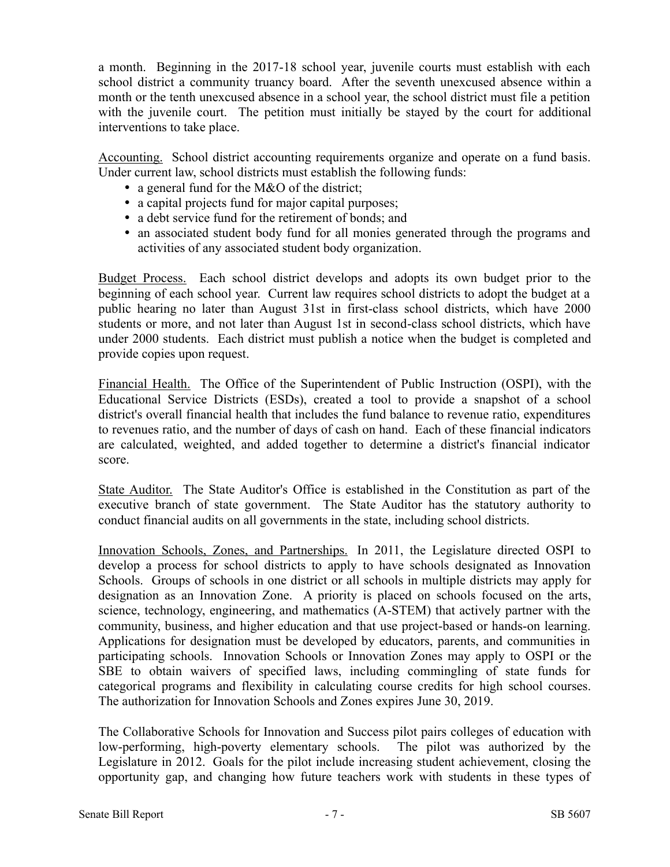a month. Beginning in the 2017-18 school year, juvenile courts must establish with each school district a community truancy board. After the seventh unexcused absence within a month or the tenth unexcused absence in a school year, the school district must file a petition with the juvenile court. The petition must initially be stayed by the court for additional interventions to take place.

Accounting. School district accounting requirements organize and operate on a fund basis. Under current law, school districts must establish the following funds:

- a general fund for the M&O of the district;
- a capital projects fund for major capital purposes;
- a debt service fund for the retirement of bonds; and
- an associated student body fund for all monies generated through the programs and activities of any associated student body organization.

Budget Process. Each school district develops and adopts its own budget prior to the beginning of each school year. Current law requires school districts to adopt the budget at a public hearing no later than August 31st in first-class school districts, which have 2000 students or more, and not later than August 1st in second-class school districts, which have under 2000 students. Each district must publish a notice when the budget is completed and provide copies upon request.

Financial Health. The Office of the Superintendent of Public Instruction (OSPI), with the Educational Service Districts (ESDs), created a tool to provide a snapshot of a school district's overall financial health that includes the fund balance to revenue ratio, expenditures to revenues ratio, and the number of days of cash on hand. Each of these financial indicators are calculated, weighted, and added together to determine a district's financial indicator score.

State Auditor. The State Auditor's Office is established in the Constitution as part of the executive branch of state government. The State Auditor has the statutory authority to conduct financial audits on all governments in the state, including school districts.

Innovation Schools, Zones, and Partnerships. In 2011, the Legislature directed OSPI to develop a process for school districts to apply to have schools designated as Innovation Schools. Groups of schools in one district or all schools in multiple districts may apply for designation as an Innovation Zone. A priority is placed on schools focused on the arts, science, technology, engineering, and mathematics (A-STEM) that actively partner with the community, business, and higher education and that use project-based or hands-on learning. Applications for designation must be developed by educators, parents, and communities in participating schools. Innovation Schools or Innovation Zones may apply to OSPI or the SBE to obtain waivers of specified laws, including commingling of state funds for categorical programs and flexibility in calculating course credits for high school courses. The authorization for Innovation Schools and Zones expires June 30, 2019.

The Collaborative Schools for Innovation and Success pilot pairs colleges of education with low-performing, high-poverty elementary schools. The pilot was authorized by the Legislature in 2012. Goals for the pilot include increasing student achievement, closing the opportunity gap, and changing how future teachers work with students in these types of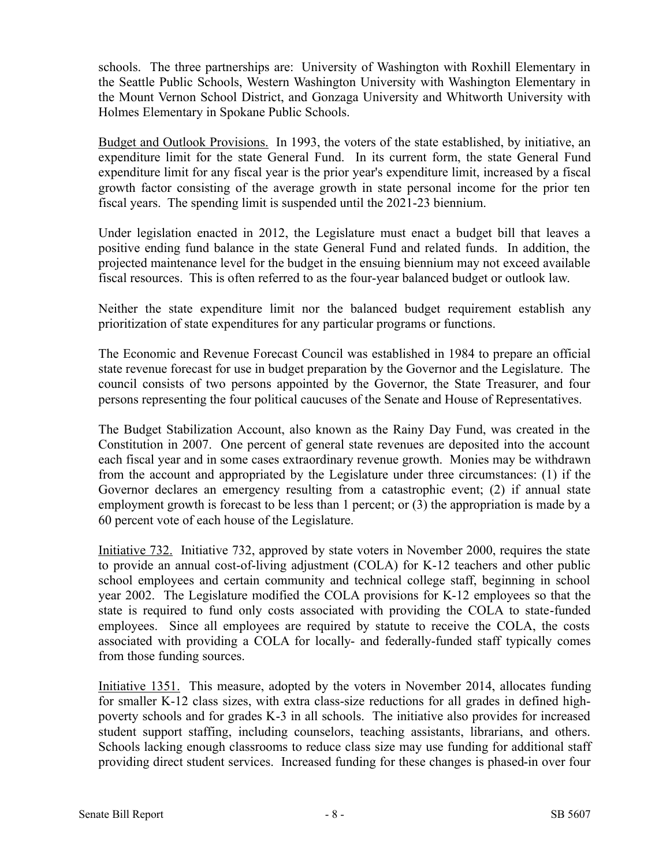schools. The three partnerships are: University of Washington with Roxhill Elementary in the Seattle Public Schools, Western Washington University with Washington Elementary in the Mount Vernon School District, and Gonzaga University and Whitworth University with Holmes Elementary in Spokane Public Schools.

Budget and Outlook Provisions. In 1993, the voters of the state established, by initiative, an expenditure limit for the state General Fund. In its current form, the state General Fund expenditure limit for any fiscal year is the prior year's expenditure limit, increased by a fiscal growth factor consisting of the average growth in state personal income for the prior ten fiscal years. The spending limit is suspended until the 2021-23 biennium.

Under legislation enacted in 2012, the Legislature must enact a budget bill that leaves a positive ending fund balance in the state General Fund and related funds. In addition, the projected maintenance level for the budget in the ensuing biennium may not exceed available fiscal resources. This is often referred to as the four-year balanced budget or outlook law.

Neither the state expenditure limit nor the balanced budget requirement establish any prioritization of state expenditures for any particular programs or functions.

The Economic and Revenue Forecast Council was established in 1984 to prepare an official state revenue forecast for use in budget preparation by the Governor and the Legislature. The council consists of two persons appointed by the Governor, the State Treasurer, and four persons representing the four political caucuses of the Senate and House of Representatives.

The Budget Stabilization Account, also known as the Rainy Day Fund, was created in the Constitution in 2007. One percent of general state revenues are deposited into the account each fiscal year and in some cases extraordinary revenue growth. Monies may be withdrawn from the account and appropriated by the Legislature under three circumstances: (1) if the Governor declares an emergency resulting from a catastrophic event; (2) if annual state employment growth is forecast to be less than 1 percent; or (3) the appropriation is made by a 60 percent vote of each house of the Legislature.

Initiative 732. Initiative 732, approved by state voters in November 2000, requires the state to provide an annual cost-of-living adjustment (COLA) for K-12 teachers and other public school employees and certain community and technical college staff, beginning in school year 2002. The Legislature modified the COLA provisions for K-12 employees so that the state is required to fund only costs associated with providing the COLA to state-funded employees. Since all employees are required by statute to receive the COLA, the costs associated with providing a COLA for locally- and federally-funded staff typically comes from those funding sources.

Initiative 1351. This measure, adopted by the voters in November 2014, allocates funding for smaller K-12 class sizes, with extra class-size reductions for all grades in defined highpoverty schools and for grades K-3 in all schools. The initiative also provides for increased student support staffing, including counselors, teaching assistants, librarians, and others. Schools lacking enough classrooms to reduce class size may use funding for additional staff providing direct student services. Increased funding for these changes is phased-in over four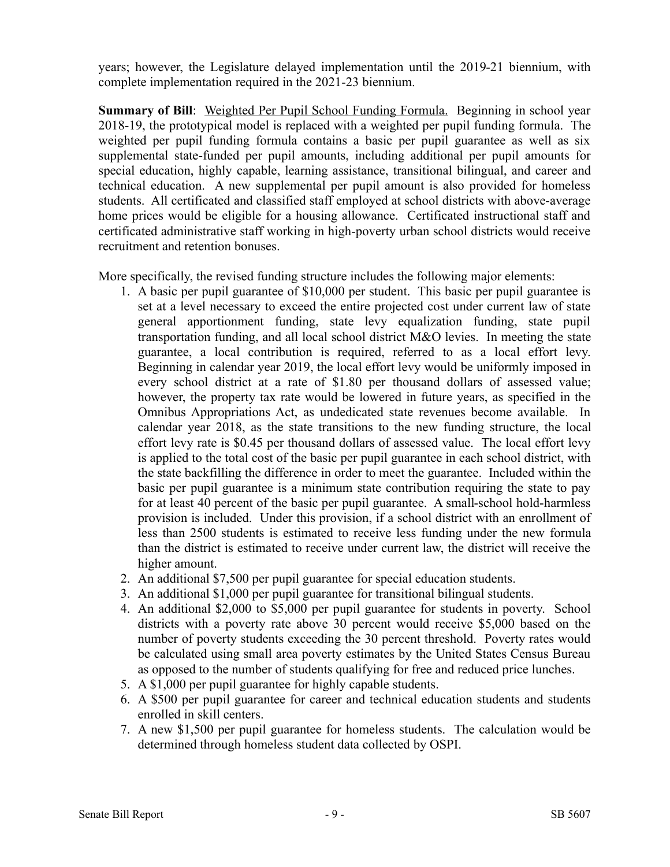years; however, the Legislature delayed implementation until the 2019-21 biennium, with complete implementation required in the 2021-23 biennium.

**Summary of Bill**: Weighted Per Pupil School Funding Formula. Beginning in school year 2018-19, the prototypical model is replaced with a weighted per pupil funding formula. The weighted per pupil funding formula contains a basic per pupil guarantee as well as six supplemental state-funded per pupil amounts, including additional per pupil amounts for special education, highly capable, learning assistance, transitional bilingual, and career and technical education. A new supplemental per pupil amount is also provided for homeless students. All certificated and classified staff employed at school districts with above-average home prices would be eligible for a housing allowance. Certificated instructional staff and certificated administrative staff working in high-poverty urban school districts would receive recruitment and retention bonuses.

More specifically, the revised funding structure includes the following major elements:

- 1. A basic per pupil guarantee of \$10,000 per student. This basic per pupil guarantee is set at a level necessary to exceed the entire projected cost under current law of state general apportionment funding, state levy equalization funding, state pupil transportation funding, and all local school district M&O levies. In meeting the state guarantee, a local contribution is required, referred to as a local effort levy. Beginning in calendar year 2019, the local effort levy would be uniformly imposed in every school district at a rate of \$1.80 per thousand dollars of assessed value; however, the property tax rate would be lowered in future years, as specified in the Omnibus Appropriations Act, as undedicated state revenues become available. In calendar year 2018, as the state transitions to the new funding structure, the local effort levy rate is \$0.45 per thousand dollars of assessed value. The local effort levy is applied to the total cost of the basic per pupil guarantee in each school district, with the state backfilling the difference in order to meet the guarantee. Included within the basic per pupil guarantee is a minimum state contribution requiring the state to pay for at least 40 percent of the basic per pupil guarantee. A small-school hold-harmless provision is included. Under this provision, if a school district with an enrollment of less than 2500 students is estimated to receive less funding under the new formula than the district is estimated to receive under current law, the district will receive the higher amount.
- 2. An additional \$7,500 per pupil guarantee for special education students.
- 3. An additional \$1,000 per pupil guarantee for transitional bilingual students.
- 4. An additional \$2,000 to \$5,000 per pupil guarantee for students in poverty. School districts with a poverty rate above 30 percent would receive \$5,000 based on the number of poverty students exceeding the 30 percent threshold. Poverty rates would be calculated using small area poverty estimates by the United States Census Bureau as opposed to the number of students qualifying for free and reduced price lunches.
- 5. A \$1,000 per pupil guarantee for highly capable students.
- 6. A \$500 per pupil guarantee for career and technical education students and students enrolled in skill centers.
- 7. A new \$1,500 per pupil guarantee for homeless students. The calculation would be determined through homeless student data collected by OSPI.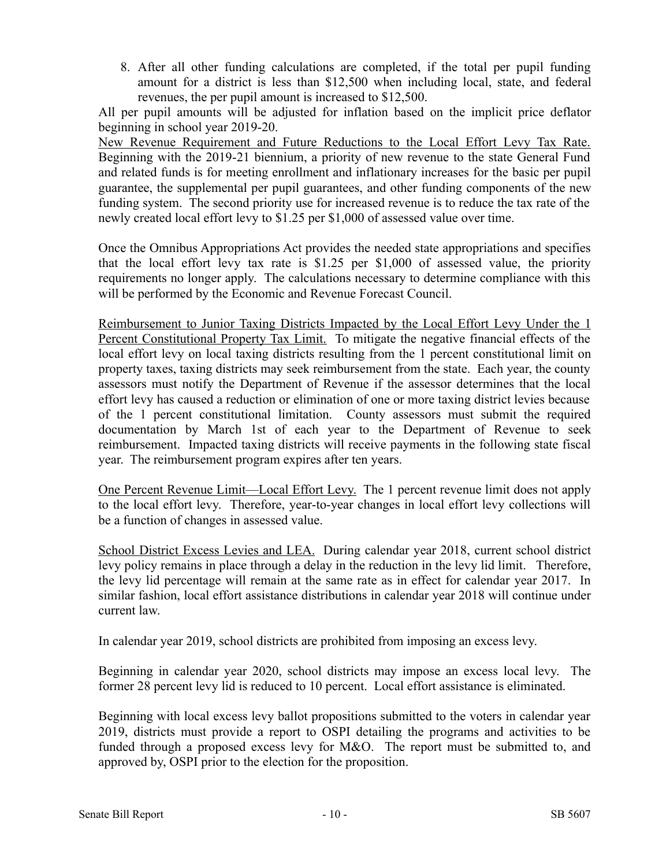8. After all other funding calculations are completed, if the total per pupil funding amount for a district is less than \$12,500 when including local, state, and federal revenues, the per pupil amount is increased to \$12,500.

All per pupil amounts will be adjusted for inflation based on the implicit price deflator beginning in school year 2019-20.

New Revenue Requirement and Future Reductions to the Local Effort Levy Tax Rate. Beginning with the 2019-21 biennium, a priority of new revenue to the state General Fund and related funds is for meeting enrollment and inflationary increases for the basic per pupil guarantee, the supplemental per pupil guarantees, and other funding components of the new funding system. The second priority use for increased revenue is to reduce the tax rate of the newly created local effort levy to \$1.25 per \$1,000 of assessed value over time.

Once the Omnibus Appropriations Act provides the needed state appropriations and specifies that the local effort levy tax rate is \$1.25 per \$1,000 of assessed value, the priority requirements no longer apply. The calculations necessary to determine compliance with this will be performed by the Economic and Revenue Forecast Council.

Reimbursement to Junior Taxing Districts Impacted by the Local Effort Levy Under the 1 Percent Constitutional Property Tax Limit. To mitigate the negative financial effects of the local effort levy on local taxing districts resulting from the 1 percent constitutional limit on property taxes, taxing districts may seek reimbursement from the state. Each year, the county assessors must notify the Department of Revenue if the assessor determines that the local effort levy has caused a reduction or elimination of one or more taxing district levies because of the 1 percent constitutional limitation. County assessors must submit the required documentation by March 1st of each year to the Department of Revenue to seek reimbursement. Impacted taxing districts will receive payments in the following state fiscal year. The reimbursement program expires after ten years.

One Percent Revenue Limit—Local Effort Levy. The 1 percent revenue limit does not apply to the local effort levy. Therefore, year-to-year changes in local effort levy collections will be a function of changes in assessed value.

School District Excess Levies and LEA. During calendar year 2018, current school district levy policy remains in place through a delay in the reduction in the levy lid limit. Therefore, the levy lid percentage will remain at the same rate as in effect for calendar year 2017. In similar fashion, local effort assistance distributions in calendar year 2018 will continue under current law.

In calendar year 2019, school districts are prohibited from imposing an excess levy.

Beginning in calendar year 2020, school districts may impose an excess local levy. The former 28 percent levy lid is reduced to 10 percent. Local effort assistance is eliminated.

Beginning with local excess levy ballot propositions submitted to the voters in calendar year 2019, districts must provide a report to OSPI detailing the programs and activities to be funded through a proposed excess levy for M&O. The report must be submitted to, and approved by, OSPI prior to the election for the proposition.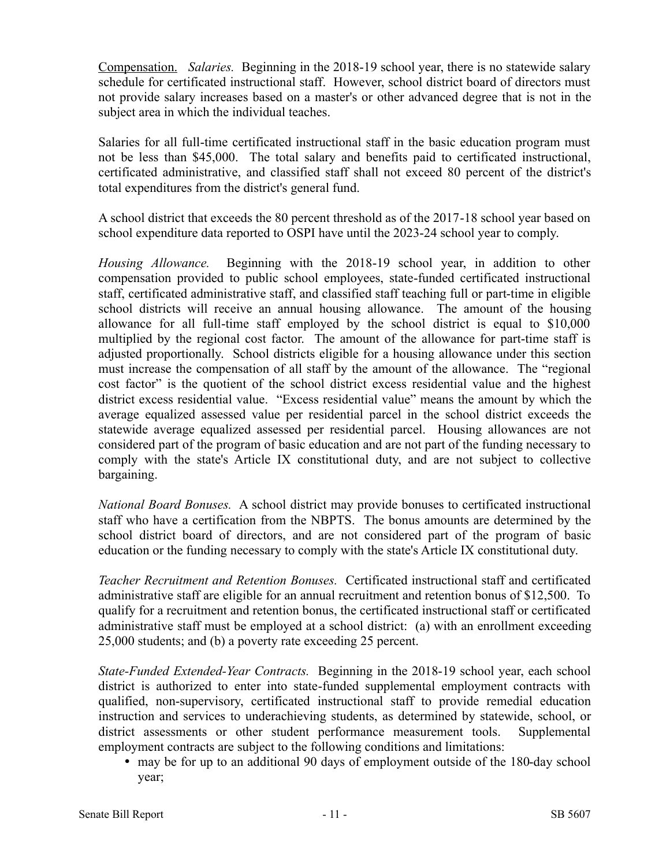Compensation. *Salaries.* Beginning in the 2018-19 school year, there is no statewide salary schedule for certificated instructional staff. However, school district board of directors must not provide salary increases based on a master's or other advanced degree that is not in the subject area in which the individual teaches.

Salaries for all full-time certificated instructional staff in the basic education program must not be less than \$45,000. The total salary and benefits paid to certificated instructional, certificated administrative, and classified staff shall not exceed 80 percent of the district's total expenditures from the district's general fund.

A school district that exceeds the 80 percent threshold as of the 2017-18 school year based on school expenditure data reported to OSPI have until the 2023-24 school year to comply.

*Housing Allowance.* Beginning with the 2018-19 school year, in addition to other compensation provided to public school employees, state-funded certificated instructional staff, certificated administrative staff, and classified staff teaching full or part-time in eligible school districts will receive an annual housing allowance. The amount of the housing allowance for all full-time staff employed by the school district is equal to \$10,000 multiplied by the regional cost factor. The amount of the allowance for part-time staff is adjusted proportionally. School districts eligible for a housing allowance under this section must increase the compensation of all staff by the amount of the allowance. The "regional cost factor" is the quotient of the school district excess residential value and the highest district excess residential value. "Excess residential value" means the amount by which the average equalized assessed value per residential parcel in the school district exceeds the statewide average equalized assessed per residential parcel. Housing allowances are not considered part of the program of basic education and are not part of the funding necessary to comply with the state's Article IX constitutional duty, and are not subject to collective bargaining.

*National Board Bonuses.* A school district may provide bonuses to certificated instructional staff who have a certification from the NBPTS. The bonus amounts are determined by the school district board of directors, and are not considered part of the program of basic education or the funding necessary to comply with the state's Article IX constitutional duty.

*Teacher Recruitment and Retention Bonuses.* Certificated instructional staff and certificated administrative staff are eligible for an annual recruitment and retention bonus of \$12,500. To qualify for a recruitment and retention bonus, the certificated instructional staff or certificated administrative staff must be employed at a school district: (a) with an enrollment exceeding 25,000 students; and (b) a poverty rate exceeding 25 percent.

*State-Funded Extended-Year Contracts.* Beginning in the 2018-19 school year, each school district is authorized to enter into state-funded supplemental employment contracts with qualified, non-supervisory, certificated instructional staff to provide remedial education instruction and services to underachieving students, as determined by statewide, school, or district assessments or other student performance measurement tools. Supplemental employment contracts are subject to the following conditions and limitations:

 may be for up to an additional 90 days of employment outside of the 180-day school year;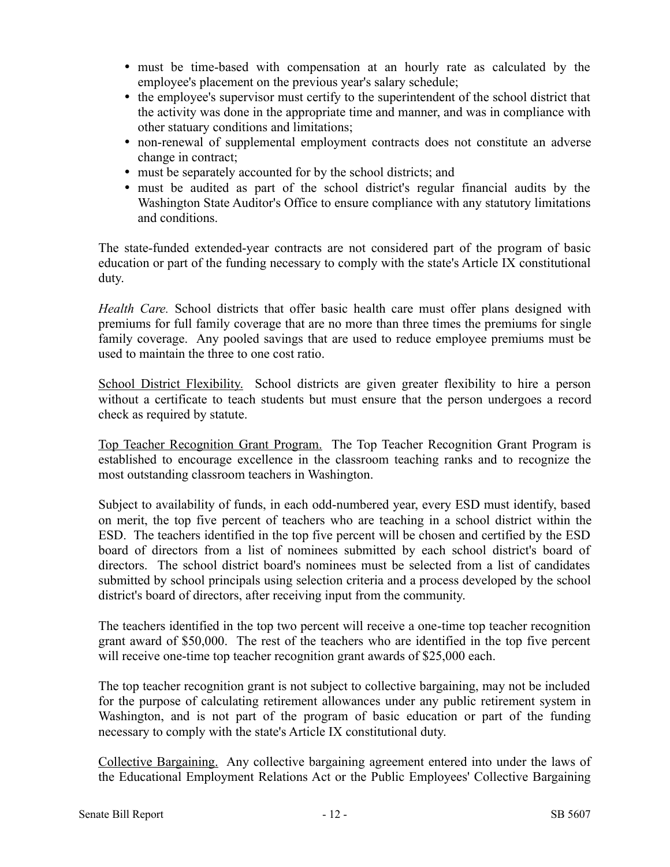- must be time-based with compensation at an hourly rate as calculated by the employee's placement on the previous year's salary schedule;
- the employee's supervisor must certify to the superintendent of the school district that the activity was done in the appropriate time and manner, and was in compliance with other statuary conditions and limitations;
- non-renewal of supplemental employment contracts does not constitute an adverse change in contract;
- must be separately accounted for by the school districts; and
- must be audited as part of the school district's regular financial audits by the Washington State Auditor's Office to ensure compliance with any statutory limitations and conditions.

The state-funded extended-year contracts are not considered part of the program of basic education or part of the funding necessary to comply with the state's Article IX constitutional duty.

*Health Care.* School districts that offer basic health care must offer plans designed with premiums for full family coverage that are no more than three times the premiums for single family coverage. Any pooled savings that are used to reduce employee premiums must be used to maintain the three to one cost ratio.

School District Flexibility. School districts are given greater flexibility to hire a person without a certificate to teach students but must ensure that the person undergoes a record check as required by statute.

Top Teacher Recognition Grant Program. The Top Teacher Recognition Grant Program is established to encourage excellence in the classroom teaching ranks and to recognize the most outstanding classroom teachers in Washington.

Subject to availability of funds, in each odd-numbered year, every ESD must identify, based on merit, the top five percent of teachers who are teaching in a school district within the ESD. The teachers identified in the top five percent will be chosen and certified by the ESD board of directors from a list of nominees submitted by each school district's board of directors. The school district board's nominees must be selected from a list of candidates submitted by school principals using selection criteria and a process developed by the school district's board of directors, after receiving input from the community.

The teachers identified in the top two percent will receive a one-time top teacher recognition grant award of \$50,000. The rest of the teachers who are identified in the top five percent will receive one-time top teacher recognition grant awards of \$25,000 each.

The top teacher recognition grant is not subject to collective bargaining, may not be included for the purpose of calculating retirement allowances under any public retirement system in Washington, and is not part of the program of basic education or part of the funding necessary to comply with the state's Article IX constitutional duty.

Collective Bargaining. Any collective bargaining agreement entered into under the laws of the Educational Employment Relations Act or the Public Employees' Collective Bargaining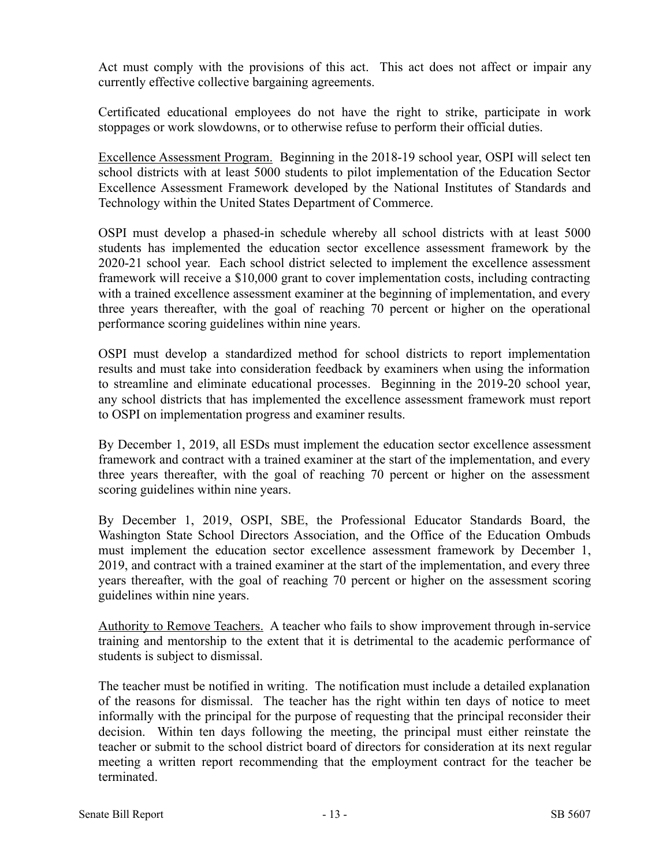Act must comply with the provisions of this act. This act does not affect or impair any currently effective collective bargaining agreements.

Certificated educational employees do not have the right to strike, participate in work stoppages or work slowdowns, or to otherwise refuse to perform their official duties.

Excellence Assessment Program. Beginning in the 2018-19 school year, OSPI will select ten school districts with at least 5000 students to pilot implementation of the Education Sector Excellence Assessment Framework developed by the National Institutes of Standards and Technology within the United States Department of Commerce.

OSPI must develop a phased-in schedule whereby all school districts with at least 5000 students has implemented the education sector excellence assessment framework by the 2020-21 school year. Each school district selected to implement the excellence assessment framework will receive a \$10,000 grant to cover implementation costs, including contracting with a trained excellence assessment examiner at the beginning of implementation, and every three years thereafter, with the goal of reaching 70 percent or higher on the operational performance scoring guidelines within nine years.

OSPI must develop a standardized method for school districts to report implementation results and must take into consideration feedback by examiners when using the information to streamline and eliminate educational processes. Beginning in the 2019-20 school year, any school districts that has implemented the excellence assessment framework must report to OSPI on implementation progress and examiner results.

By December 1, 2019, all ESDs must implement the education sector excellence assessment framework and contract with a trained examiner at the start of the implementation, and every three years thereafter, with the goal of reaching 70 percent or higher on the assessment scoring guidelines within nine years.

By December 1, 2019, OSPI, SBE, the Professional Educator Standards Board, the Washington State School Directors Association, and the Office of the Education Ombuds must implement the education sector excellence assessment framework by December 1, 2019, and contract with a trained examiner at the start of the implementation, and every three years thereafter, with the goal of reaching 70 percent or higher on the assessment scoring guidelines within nine years.

Authority to Remove Teachers. A teacher who fails to show improvement through in-service training and mentorship to the extent that it is detrimental to the academic performance of students is subject to dismissal.

The teacher must be notified in writing. The notification must include a detailed explanation of the reasons for dismissal. The teacher has the right within ten days of notice to meet informally with the principal for the purpose of requesting that the principal reconsider their decision. Within ten days following the meeting, the principal must either reinstate the teacher or submit to the school district board of directors for consideration at its next regular meeting a written report recommending that the employment contract for the teacher be terminated.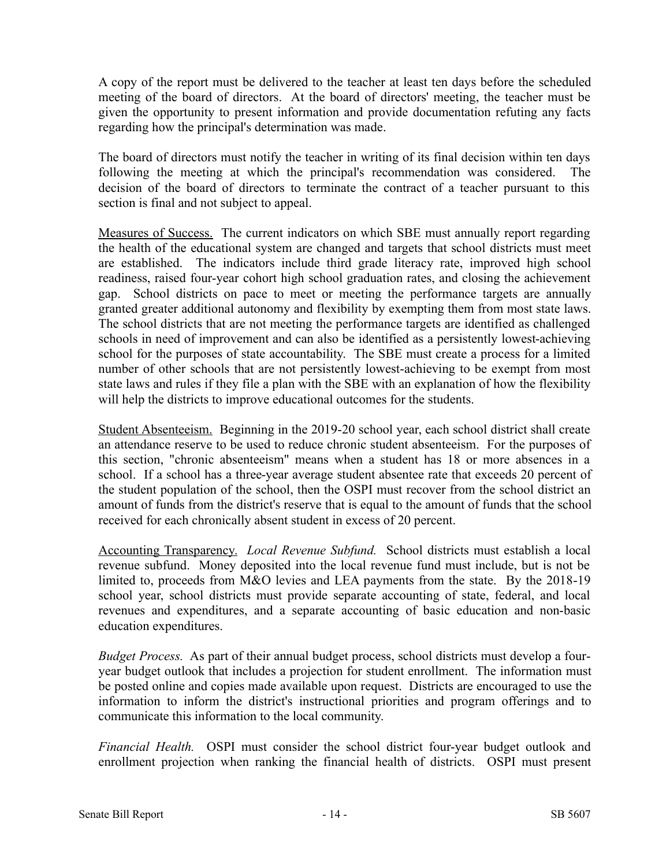A copy of the report must be delivered to the teacher at least ten days before the scheduled meeting of the board of directors. At the board of directors' meeting, the teacher must be given the opportunity to present information and provide documentation refuting any facts regarding how the principal's determination was made.

The board of directors must notify the teacher in writing of its final decision within ten days following the meeting at which the principal's recommendation was considered. The decision of the board of directors to terminate the contract of a teacher pursuant to this section is final and not subject to appeal.

Measures of Success. The current indicators on which SBE must annually report regarding the health of the educational system are changed and targets that school districts must meet are established. The indicators include third grade literacy rate, improved high school readiness, raised four-year cohort high school graduation rates, and closing the achievement gap. School districts on pace to meet or meeting the performance targets are annually granted greater additional autonomy and flexibility by exempting them from most state laws. The school districts that are not meeting the performance targets are identified as challenged schools in need of improvement and can also be identified as a persistently lowest-achieving school for the purposes of state accountability. The SBE must create a process for a limited number of other schools that are not persistently lowest-achieving to be exempt from most state laws and rules if they file a plan with the SBE with an explanation of how the flexibility will help the districts to improve educational outcomes for the students.

Student Absenteeism. Beginning in the 2019-20 school year, each school district shall create an attendance reserve to be used to reduce chronic student absenteeism. For the purposes of this section, "chronic absenteeism" means when a student has 18 or more absences in a school. If a school has a three-year average student absentee rate that exceeds 20 percent of the student population of the school, then the OSPI must recover from the school district an amount of funds from the district's reserve that is equal to the amount of funds that the school received for each chronically absent student in excess of 20 percent.

Accounting Transparency. *Local Revenue Subfund.* School districts must establish a local revenue subfund. Money deposited into the local revenue fund must include, but is not be limited to, proceeds from M&O levies and LEA payments from the state. By the 2018-19 school year, school districts must provide separate accounting of state, federal, and local revenues and expenditures, and a separate accounting of basic education and non-basic education expenditures.

*Budget Process.* As part of their annual budget process, school districts must develop a fouryear budget outlook that includes a projection for student enrollment. The information must be posted online and copies made available upon request. Districts are encouraged to use the information to inform the district's instructional priorities and program offerings and to communicate this information to the local community.

*Financial Health.* OSPI must consider the school district four-year budget outlook and enrollment projection when ranking the financial health of districts. OSPI must present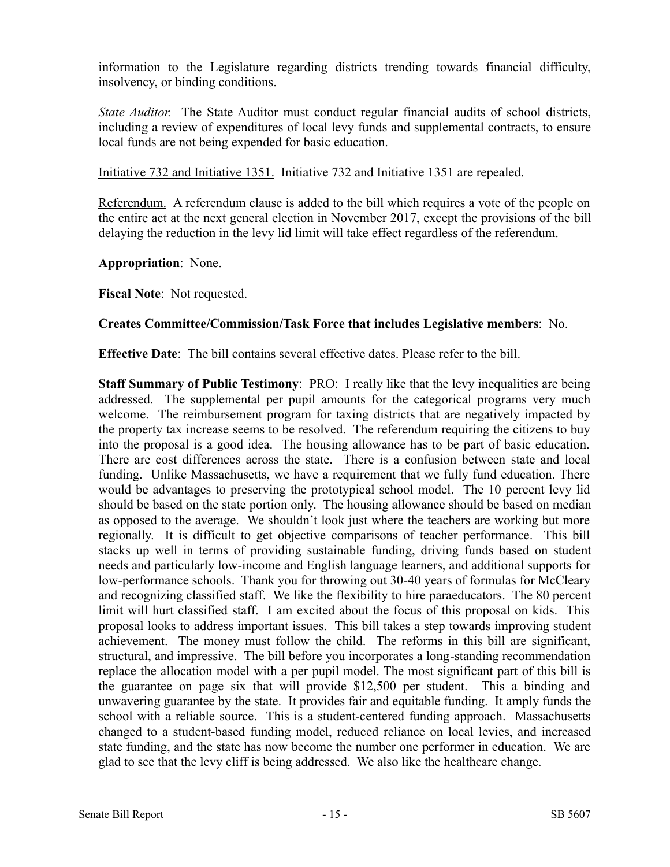information to the Legislature regarding districts trending towards financial difficulty, insolvency, or binding conditions.

*State Auditor.* The State Auditor must conduct regular financial audits of school districts, including a review of expenditures of local levy funds and supplemental contracts, to ensure local funds are not being expended for basic education.

Initiative 732 and Initiative 1351. Initiative 732 and Initiative 1351 are repealed.

Referendum. A referendum clause is added to the bill which requires a vote of the people on the entire act at the next general election in November 2017, except the provisions of the bill delaying the reduction in the levy lid limit will take effect regardless of the referendum.

**Appropriation**: None.

**Fiscal Note**: Not requested.

## **Creates Committee/Commission/Task Force that includes Legislative members**: No.

**Effective Date**: The bill contains several effective dates. Please refer to the bill.

**Staff Summary of Public Testimony**: PRO: I really like that the levy inequalities are being addressed. The supplemental per pupil amounts for the categorical programs very much welcome. The reimbursement program for taxing districts that are negatively impacted by the property tax increase seems to be resolved. The referendum requiring the citizens to buy into the proposal is a good idea. The housing allowance has to be part of basic education. There are cost differences across the state. There is a confusion between state and local funding. Unlike Massachusetts, we have a requirement that we fully fund education. There would be advantages to preserving the prototypical school model. The 10 percent levy lid should be based on the state portion only. The housing allowance should be based on median as opposed to the average. We shouldn't look just where the teachers are working but more regionally. It is difficult to get objective comparisons of teacher performance. This bill stacks up well in terms of providing sustainable funding, driving funds based on student needs and particularly low-income and English language learners, and additional supports for low-performance schools. Thank you for throwing out 30-40 years of formulas for McCleary and recognizing classified staff. We like the flexibility to hire paraeducators. The 80 percent limit will hurt classified staff. I am excited about the focus of this proposal on kids. This proposal looks to address important issues. This bill takes a step towards improving student achievement. The money must follow the child. The reforms in this bill are significant, structural, and impressive. The bill before you incorporates a long-standing recommendation replace the allocation model with a per pupil model. The most significant part of this bill is the guarantee on page six that will provide \$12,500 per student. This a binding and unwavering guarantee by the state. It provides fair and equitable funding. It amply funds the school with a reliable source. This is a student-centered funding approach. Massachusetts changed to a student-based funding model, reduced reliance on local levies, and increased state funding, and the state has now become the number one performer in education. We are glad to see that the levy cliff is being addressed. We also like the healthcare change.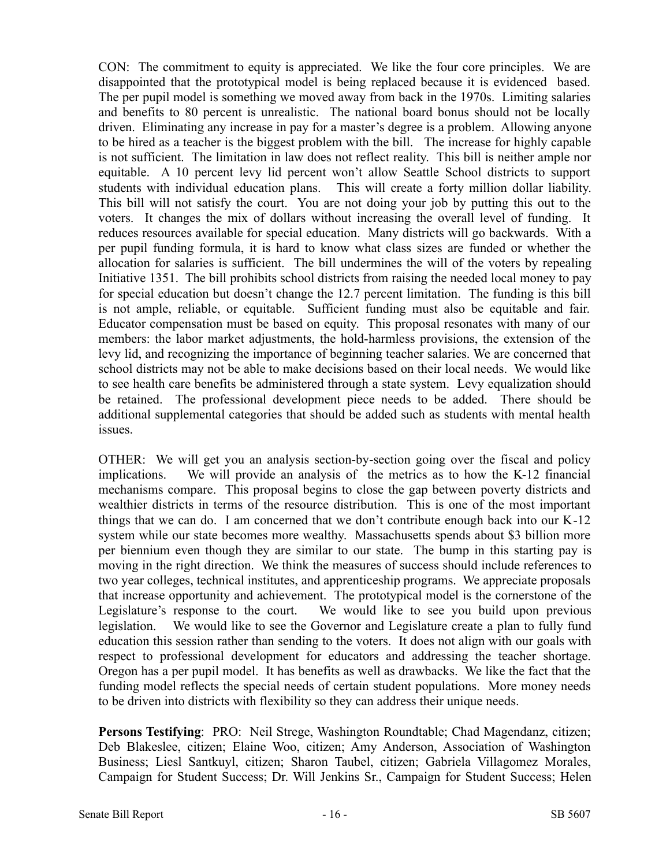CON: The commitment to equity is appreciated. We like the four core principles. We are disappointed that the prototypical model is being replaced because it is evidenced based. The per pupil model is something we moved away from back in the 1970s. Limiting salaries and benefits to 80 percent is unrealistic. The national board bonus should not be locally driven. Eliminating any increase in pay for a master's degree is a problem. Allowing anyone to be hired as a teacher is the biggest problem with the bill. The increase for highly capable is not sufficient. The limitation in law does not reflect reality. This bill is neither ample nor equitable. A 10 percent levy lid percent won't allow Seattle School districts to support students with individual education plans. This will create a forty million dollar liability. This bill will not satisfy the court. You are not doing your job by putting this out to the voters. It changes the mix of dollars without increasing the overall level of funding. It reduces resources available for special education. Many districts will go backwards. With a per pupil funding formula, it is hard to know what class sizes are funded or whether the allocation for salaries is sufficient. The bill undermines the will of the voters by repealing Initiative 1351. The bill prohibits school districts from raising the needed local money to pay for special education but doesn't change the 12.7 percent limitation. The funding is this bill is not ample, reliable, or equitable. Sufficient funding must also be equitable and fair. Educator compensation must be based on equity. This proposal resonates with many of our members: the labor market adjustments, the hold-harmless provisions, the extension of the levy lid, and recognizing the importance of beginning teacher salaries. We are concerned that school districts may not be able to make decisions based on their local needs. We would like to see health care benefits be administered through a state system. Levy equalization should be retained. The professional development piece needs to be added. There should be additional supplemental categories that should be added such as students with mental health issues.

OTHER: We will get you an analysis section-by-section going over the fiscal and policy implications. We will provide an analysis of the metrics as to how the K-12 financial mechanisms compare. This proposal begins to close the gap between poverty districts and wealthier districts in terms of the resource distribution. This is one of the most important things that we can do. I am concerned that we don't contribute enough back into our K-12 system while our state becomes more wealthy. Massachusetts spends about \$3 billion more per biennium even though they are similar to our state. The bump in this starting pay is moving in the right direction. We think the measures of success should include references to two year colleges, technical institutes, and apprenticeship programs. We appreciate proposals that increase opportunity and achievement. The prototypical model is the cornerstone of the Legislature's response to the court. We would like to see you build upon previous legislation. We would like to see the Governor and Legislature create a plan to fully fund education this session rather than sending to the voters. It does not align with our goals with respect to professional development for educators and addressing the teacher shortage. Oregon has a per pupil model. It has benefits as well as drawbacks. We like the fact that the funding model reflects the special needs of certain student populations. More money needs to be driven into districts with flexibility so they can address their unique needs.

**Persons Testifying**: PRO: Neil Strege, Washington Roundtable; Chad Magendanz, citizen; Deb Blakeslee, citizen; Elaine Woo, citizen; Amy Anderson, Association of Washington Business; Liesl Santkuyl, citizen; Sharon Taubel, citizen; Gabriela Villagomez Morales, Campaign for Student Success; Dr. Will Jenkins Sr., Campaign for Student Success; Helen